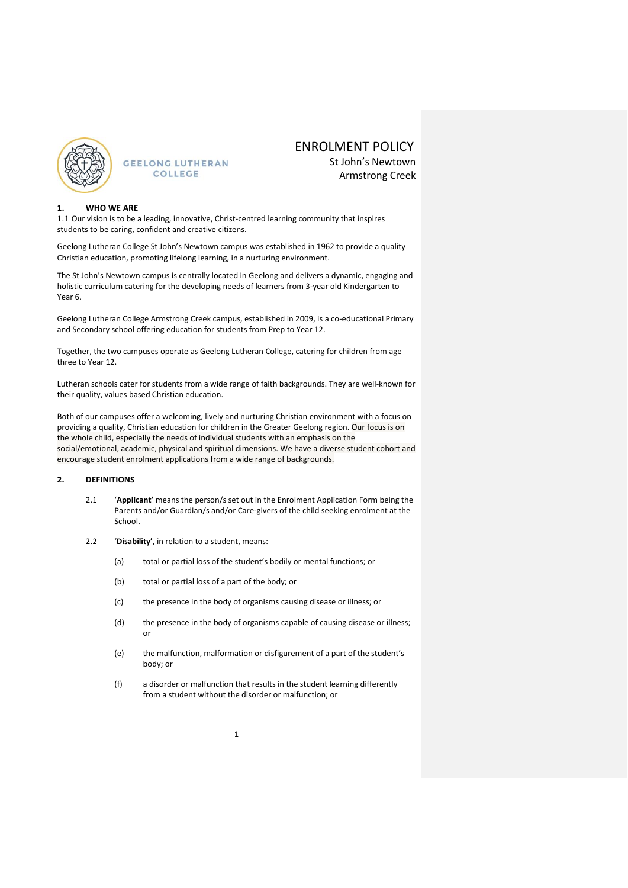

## ENROLMENT POLICY

St John's Newtown Armstrong Creek

#### **1. WHO WE ARE**

1.1 Our vision is to be a leading, innovative, Christ-centred learning community that inspires students to be caring, confident and creative citizens.

Geelong Lutheran College St John's Newtown campus was established in 1962 to provide a quality Christian education, promoting lifelong learning, in a nurturing environment.

The St John's Newtown campus is centrally located in Geelong and delivers a dynamic, engaging and holistic curriculum catering for the developing needs of learners from 3-year old Kindergarten to Year 6.

Geelong Lutheran College Armstrong Creek campus, established in 2009, is a co-educational Primary and Secondary school offering education for students from Prep to Year 12.

Together, the two campuses operate as Geelong Lutheran College, catering for children from age three to Year 12.

Lutheran schools cater for students from a wide range of faith backgrounds. They are well-known for their quality, values based Christian education.

Both of our campuses offer a welcoming, lively and nurturing Christian environment with a focus on providing a quality, Christian education for children in the Greater Geelong region. Our focus is on the whole child, especially the needs of individual students with an emphasis on the social/emotional, academic, physical and spiritual dimensions. We have a diverse student cohort and encourage student enrolment applications from a wide range of backgrounds.

#### **2. DEFINITIONS**

- 2.1 '**Applicant'** means the person/s set out in the Enrolment Application Form being the Parents and/or Guardian/s and/or Care-givers of the child seeking enrolment at the School.
- 2.2 '**Disability'**, in relation to a student, means:
	- (a) total or partial loss of the student's bodily or mental functions; or
	- (b) total or partial loss of a part of the body; or
	- (c) the presence in the body of organisms causing disease or illness; or
	- (d) the presence in the body of organisms capable of causing disease or illness; or
	- (e) the malfunction, malformation or disfigurement of a part of the student's body; or
	- (f) a disorder or malfunction that results in the student learning differently from a student without the disorder or malfunction; or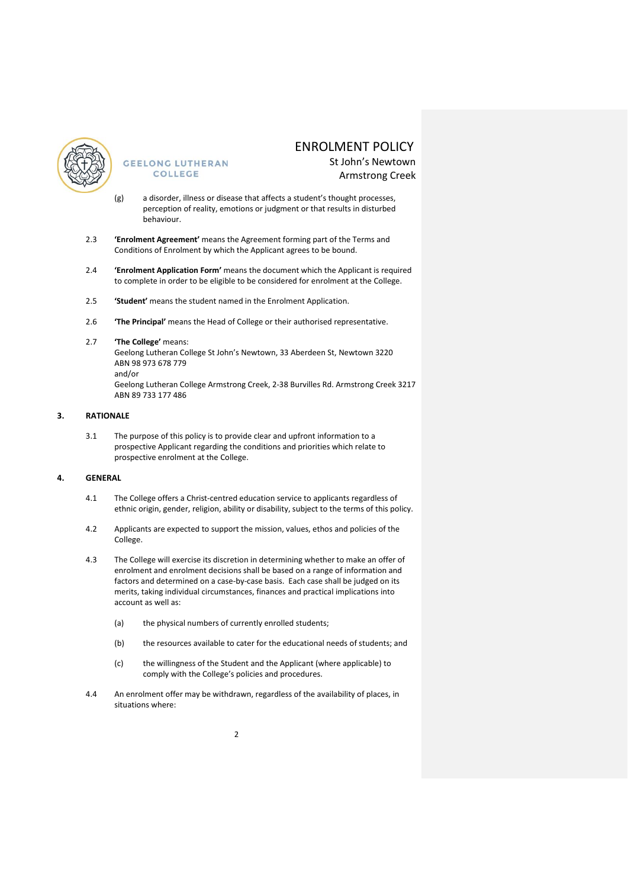

# ENROLMENT POLICY

St John's Newtown Armstrong Creek

- (g) a disorder, illness or disease that affects a student's thought processes, perception of reality, emotions or judgment or that results in disturbed behaviour.
- 2.3 **'Enrolment Agreement'** means the Agreement forming part of the Terms and Conditions of Enrolment by which the Applicant agrees to be bound.
- 2.4 **'Enrolment Application Form'** means the document which the Applicant is required to complete in order to be eligible to be considered for enrolment at the College.
- 2.5 **'Student'** means the student named in the Enrolment Application.
- 2.6 **'The Principal'** means the Head of College or their authorised representative.
- 2.7 **'The College'** means:

Geelong Lutheran College St John's Newtown, 33 Aberdeen St, Newtown 3220 ABN 98 973 678 779

and/or

Geelong Lutheran College Armstrong Creek, 2-38 Burvilles Rd. Armstrong Creek 3217 ABN 89 733 177 486

#### **3. RATIONALE**

3.1 The purpose of this policy is to provide clear and upfront information to a prospective Applicant regarding the conditions and priorities which relate to prospective enrolment at the College.

### **4. GENERAL**

- 4.1 The College offers a Christ-centred education service to applicants regardless of ethnic origin, gender, religion, ability or disability, subject to the terms of this policy.
- 4.2 Applicants are expected to support the mission, values, ethos and policies of the College.
- 4.3 The College will exercise its discretion in determining whether to make an offer of enrolment and enrolment decisions shall be based on a range of information and factors and determined on a case-by-case basis. Each case shall be judged on its merits, taking individual circumstances, finances and practical implications into account as well as:
	- (a) the physical numbers of currently enrolled students:
	- (b) the resources available to cater for the educational needs of students; and
	- (c) the willingness of the Student and the Applicant (where applicable) to comply with the College's policies and procedures.
- 4.4 An enrolment offer may be withdrawn, regardless of the availability of places, in situations where: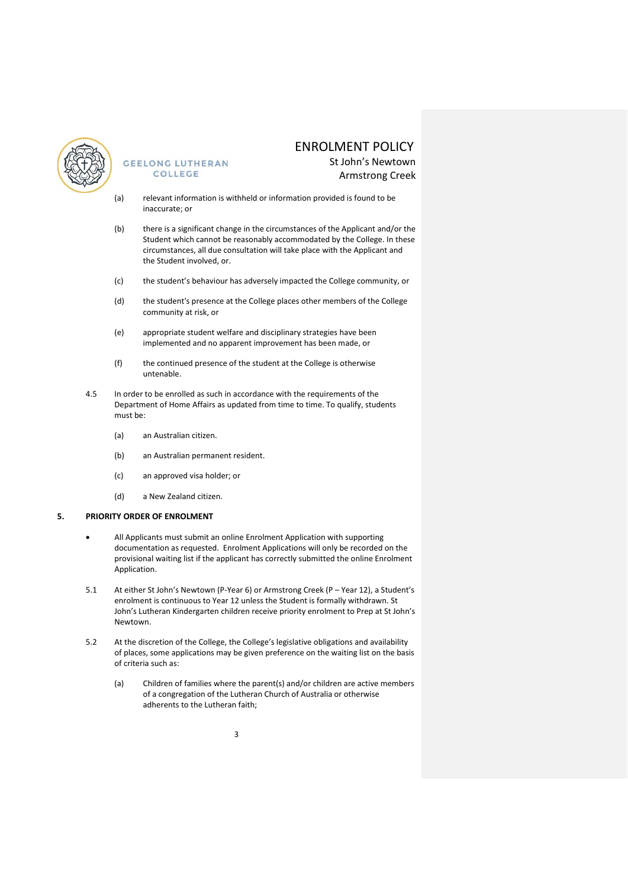

# ENROLMENT POLICY

St John's Newtown Armstrong Creek

- (a) relevant information is withheld or information provided is found to be inaccurate; or
- (b) there is a significant change in the circumstances of the Applicant and/or the Student which cannot be reasonably accommodated by the College. In these circumstances, all due consultation will take place with the Applicant and the Student involved, or.
- (c) the student's behaviour has adversely impacted the College community, or
- (d) the student's presence at the College places other members of the College community at risk, or
- (e) appropriate student welfare and disciplinary strategies have been implemented and no apparent improvement has been made, or
- (f) the continued presence of the student at the College is otherwise untenable.
- 4.5 In order to be enrolled as such in accordance with the requirements of the Department of Home Affairs as updated from time to time. To qualify, students must be:
	- (a) an Australian citizen.
	- (b) an Australian permanent resident.
	- (c) an approved visa holder; or
	- (d) a New Zealand citizen.

#### **5. PRIORITY ORDER OF ENROLMENT**

- All Applicants must submit an online Enrolment Application with supporting documentation as requested. Enrolment Applications will only be recorded on the provisional waiting list if the applicant has correctly submitted the online Enrolment Application.
- 5.1 At either St John's Newtown (P-Year 6) or Armstrong Creek (P Year 12), a Student's enrolment is continuous to Year 12 unless the Student is formally withdrawn. St John's Lutheran Kindergarten children receive priority enrolment to Prep at St John's Newtown.
- 5.2 At the discretion of the College, the College's legislative obligations and availability of places, some applications may be given preference on the waiting list on the basis of criteria such as:
	- (a) Children of families where the parent(s) and/or children are active members of a congregation of the Lutheran Church of Australia or otherwise adherents to the Lutheran faith;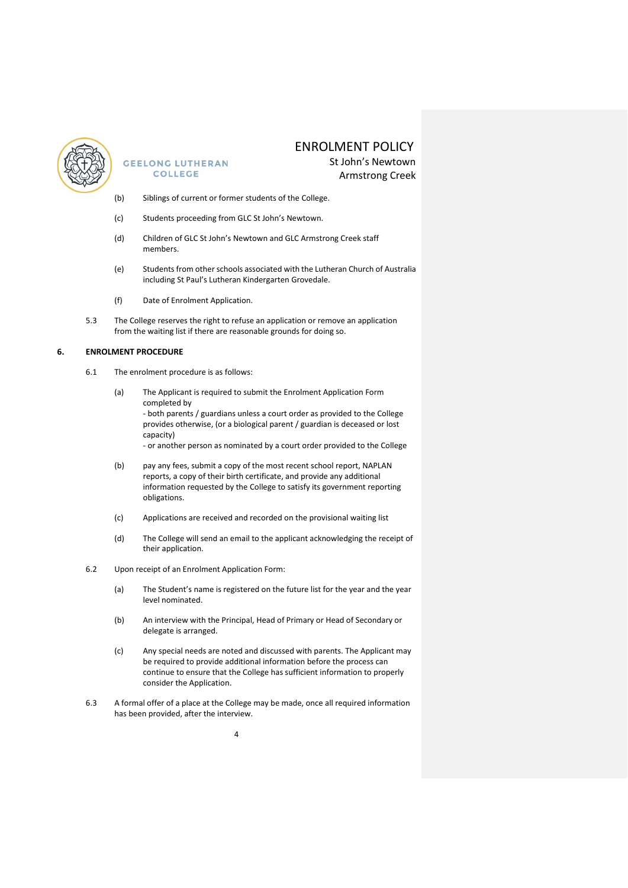

# ENROLMENT POLICY

St John's Newtown Armstrong Creek

- (b) Siblings of current or former students of the College.
- (c) Students proceeding from GLC St John's Newtown.
- (d) Children of GLC St John's Newtown and GLC Armstrong Creek staff members.
- (e) Students from other schools associated with the Lutheran Church of Australia including St Paul's Lutheran Kindergarten Grovedale.
- (f) Date of Enrolment Application.
- 5.3 The College reserves the right to refuse an application or remove an application from the waiting list if there are reasonable grounds for doing so.

#### **6. ENROLMENT PROCEDURE**

- 6.1 The enrolment procedure is as follows:
	- (a) The Applicant is required to submit the Enrolment Application Form completed by - both parents / guardians unless a court order as provided to the College provides otherwise, (or a biological parent / guardian is deceased or lost capacity) - or another person as nominated by a court order provided to the College
	- (b) pay any fees, submit a copy of the most recent school report, NAPLAN reports, a copy of their birth certificate, and provide any additional information requested by the College to satisfy its government reporting obligations.
	- (c) Applications are received and recorded on the provisional waiting list
	- (d) The College will send an email to the applicant acknowledging the receipt of their application.
- 6.2 Upon receipt of an Enrolment Application Form:
	- (a) The Student's name is registered on the future list for the year and the year level nominated.
	- (b) An interview with the Principal, Head of Primary or Head of Secondary or delegate is arranged.
	- (c) Any special needs are noted and discussed with parents. The Applicant may be required to provide additional information before the process can continue to ensure that the College has sufficient information to properly consider the Application.
- 6.3 A formal offer of a place at the College may be made, once all required information has been provided, after the interview.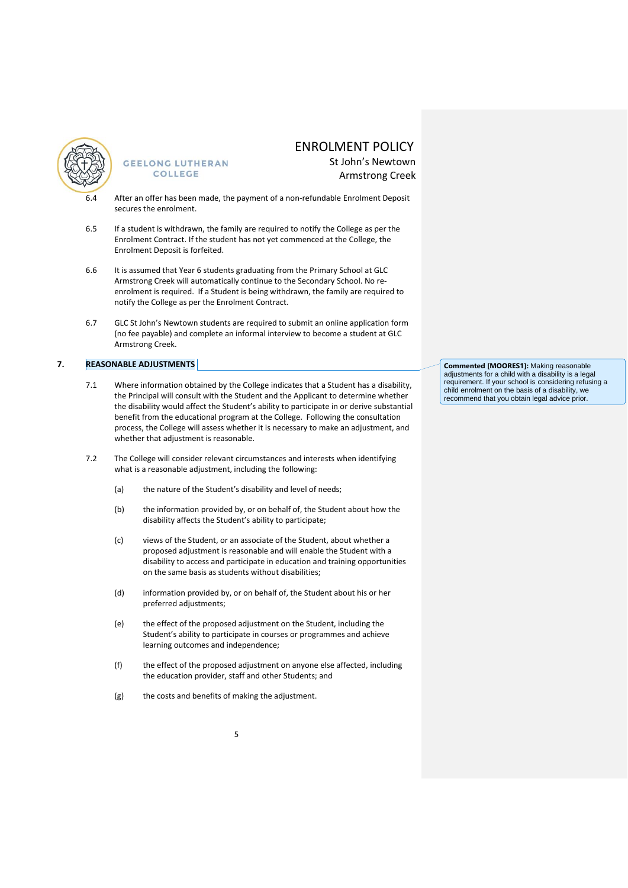

## ENROLMENT POLICY

St John's Newtown Armstrong Creek

- After an offer has been made, the payment of a non-refundable Enrolment Deposit secures the enrolment.
- 6.5 If a student is withdrawn, the family are required to notify the College as per the Enrolment Contract. If the student has not yet commenced at the College, the Enrolment Deposit is forfeited.
- 6.6 It is assumed that Year 6 students graduating from the Primary School at GLC Armstrong Creek will automatically continue to the Secondary School. No reenrolment is required. If a Student is being withdrawn, the family are required to notify the College as per the Enrolment Contract.
- 6.7 GLC St John's Newtown students are required to submit an online application form (no fee payable) and complete an informal interview to become a student at GLC Armstrong Creek.

### **7. REASONABLE ADJUSTMENTS**

- 7.1 Where information obtained by the College indicates that a Student has a disability, the Principal will consult with the Student and the Applicant to determine whether the disability would affect the Student's ability to participate in or derive substantial benefit from the educational program at the College. Following the consultation process, the College will assess whether it is necessary to make an adjustment, and whether that adjustment is reasonable.
- 7.2 The College will consider relevant circumstances and interests when identifying what is a reasonable adjustment, including the following:
	- (a) the nature of the Student's disability and level of needs;
	- (b) the information provided by, or on behalf of, the Student about how the disability affects the Student's ability to participate;
	- (c) views of the Student, or an associate of the Student, about whether a proposed adjustment is reasonable and will enable the Student with a disability to access and participate in education and training opportunities on the same basis as students without disabilities;
	- (d) information provided by, or on behalf of, the Student about his or her preferred adjustments;
	- (e) the effect of the proposed adjustment on the Student, including the Student's ability to participate in courses or programmes and achieve learning outcomes and independence;
	- (f) the effect of the proposed adjustment on anyone else affected, including the education provider, staff and other Students; and
	- (g) the costs and benefits of making the adjustment.

**Commented [MOORES1]:** Making reasonable adjustments for a child with a disability is a legal requirement. If your school is considering refusing a child enrolment on the basis of a disability, we recommend that you obtain legal advice prior.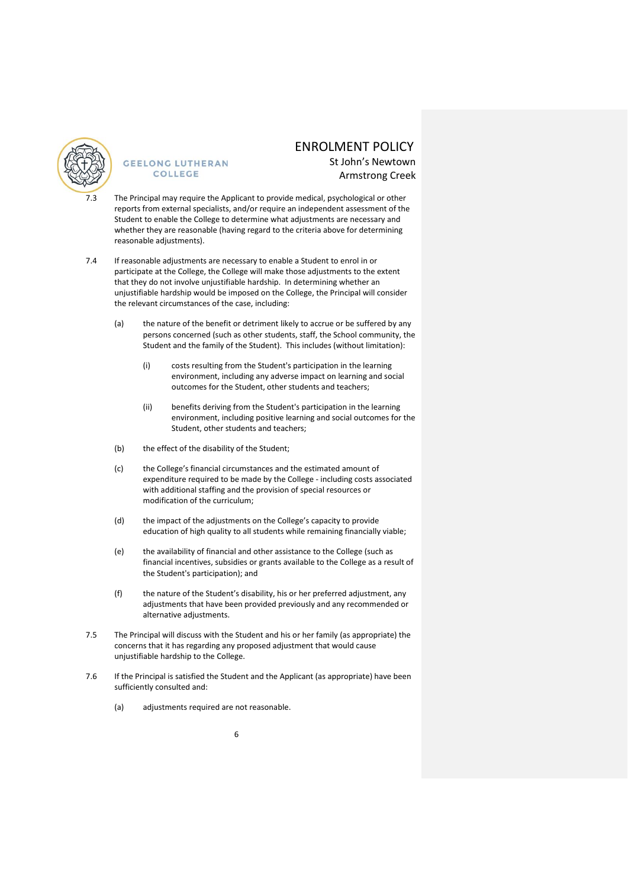

## ENROLMENT POLICY

St John's Newtown Armstrong Creek

- The Principal may require the Applicant to provide medical, psychological or other reports from external specialists, and/or require an independent assessment of the Student to enable the College to determine what adjustments are necessary and whether they are reasonable (having regard to the criteria above for determining reasonable adjustments).
- 7.4 If reasonable adjustments are necessary to enable a Student to enrol in or participate at the College, the College will make those adjustments to the extent that they do not involve unjustifiable hardship. In determining whether an unjustifiable hardship would be imposed on the College, the Principal will consider the relevant circumstances of the case, including:
	- (a) the nature of the benefit or detriment likely to accrue or be suffered by any persons concerned (such as other students, staff, the School community, the Student and the family of the Student). This includes (without limitation):
		- (i) costs resulting from the Student's participation in the learning environment, including any adverse impact on learning and social outcomes for the Student, other students and teachers;
		- (ii) benefits deriving from the Student's participation in the learning environment, including positive learning and social outcomes for the Student, other students and teachers;
	- (b) the effect of the disability of the Student;
	- (c) the College's financial circumstances and the estimated amount of expenditure required to be made by the College - including costs associated with additional staffing and the provision of special resources or modification of the curriculum;
	- (d) the impact of the adjustments on the College's capacity to provide education of high quality to all students while remaining financially viable;
	- (e) the availability of financial and other assistance to the College (such as financial incentives, subsidies or grants available to the College as a result of the Student's participation); and
	- (f) the nature of the Student's disability, his or her preferred adjustment, any adjustments that have been provided previously and any recommended or alternative adjustments.
- 7.5 The Principal will discuss with the Student and his or her family (as appropriate) the concerns that it has regarding any proposed adjustment that would cause unjustifiable hardship to the College.
- 7.6 If the Principal is satisfied the Student and the Applicant (as appropriate) have been sufficiently consulted and:
	- (a) adjustments required are not reasonable.